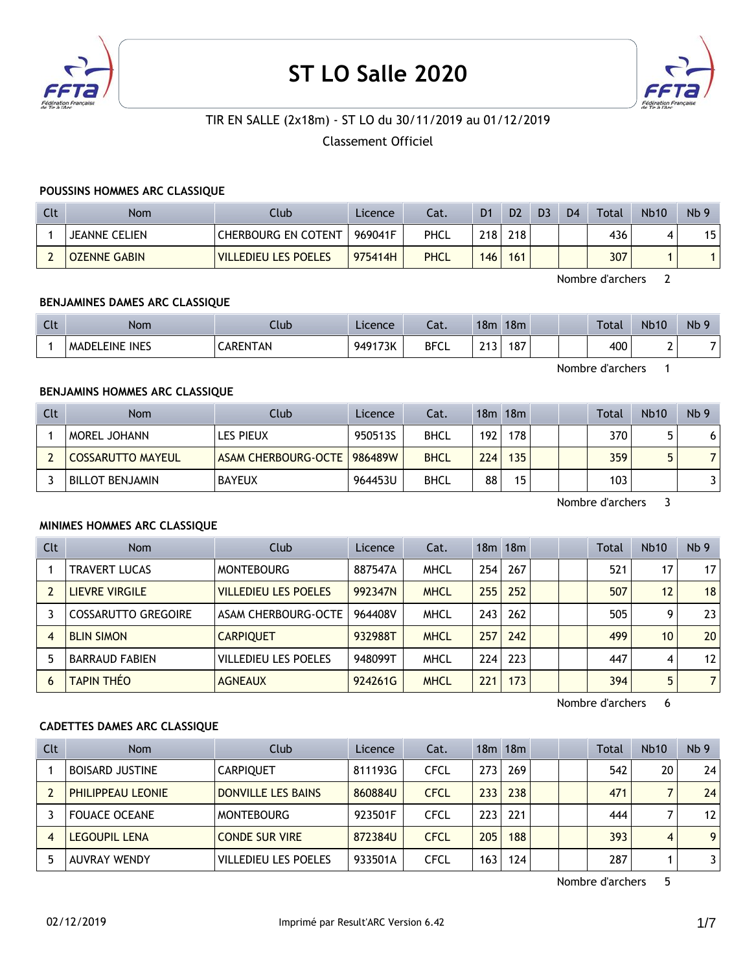

# **ST LO Salle 2020**



# TIR EN SALLE (2x18m) - ST LO du 30/11/2019 au 01/12/2019

Classement Officiel

#### **POUSSINS HOMMES ARC CLASSIQUE**

| Clt | <b>Nom</b>           | Club                        | Licence | Cat.        | D <sub>1</sub>   | D <sub>2</sub> | D <sub>3</sub> | D <sub>4</sub> | Total | <b>Nb10</b> | Nb <sub>9</sub> |
|-----|----------------------|-----------------------------|---------|-------------|------------------|----------------|----------------|----------------|-------|-------------|-----------------|
|     | <b>JEANNE CELIEN</b> | CHERBOURG EN COTENT         | 969041F | PHCL        | 218              | 218            |                |                | 436   |             | 15              |
|     | <b>OZENNE GABIN</b>  | <b>VILLEDIEU LES POELES</b> | 975414H | <b>PHCL</b> | 146 <sub>1</sub> | 161            |                |                | 307   |             |                 |

Nombre d'archers 2

#### **BENJAMINES DAMES ARC CLASSIQUE**

| Clt | <b>Nom</b>            | Llub     | Licence | $-1$<br>-al. | 18m      | 18m |  | <b>Total</b> | <b>Nb10</b> | Nb <sub>9</sub> |
|-----|-----------------------|----------|---------|--------------|----------|-----|--|--------------|-------------|-----------------|
|     | <b>MADELEINE INES</b> | CARENTAN | 949173K | <b>BFCL</b>  | 242<br>. | 187 |  | 400          |             |                 |

Nombre d'archers 1

## **BENJAMINS HOMMES ARC CLASSIQUE**

| Clt | <b>Nom</b>               | Club                | Licence | Cat.        |     | 18m 18m |  | <b>Total</b> | <b>Nb10</b> | Nb <sub>9</sub> |
|-----|--------------------------|---------------------|---------|-------------|-----|---------|--|--------------|-------------|-----------------|
|     | MOREL JOHANN             | LES PIEUX           | 950513S | <b>BHCL</b> | 192 | 178     |  | 370          |             |                 |
|     | <b>COSSARUTTO MAYEUL</b> | ASAM CHERBOURG-OCTE | 986489W | <b>BHCL</b> | 224 | 135     |  | 359          |             |                 |
|     | <b>BILLOT BENJAMIN</b>   | <b>BAYEUX</b>       | 964453U | <b>BHCL</b> | 88  | 15      |  | 103          |             |                 |

Nombre d'archers 3

#### **MINIMES HOMMES ARC CLASSIQUE**

| Clt | <b>Nom</b>            | Club                        | <b>Licence</b> | Cat.        |     | 18m 18m |  | Total | Nb10 | Nb <sub>9</sub> |
|-----|-----------------------|-----------------------------|----------------|-------------|-----|---------|--|-------|------|-----------------|
|     | <b>TRAVERT LUCAS</b>  | <b>MONTEBOURG</b>           | 887547A        | <b>MHCL</b> | 254 | 267     |  | 521   | 17   | 17              |
|     | <b>LIEVRE VIRGILE</b> | <b>VILLEDIEU LES POELES</b> | 992347N        | <b>MHCL</b> | 255 | 252     |  | 507   | 12   | 18              |
|     | COSSARUTTO GREGOIRE   | ASAM CHERBOURG-OCTE         | 964408V        | <b>MHCL</b> | 243 | 262     |  | 505   | 9    | 23              |
|     | <b>BLIN SIMON</b>     | <b>CARPIOUET</b>            | 932988T        | <b>MHCL</b> | 257 | 242     |  | 499   | 10   | 20              |
|     | <b>BARRAUD FABIEN</b> | <b>VILLEDIEU LES POELES</b> | 948099T        | <b>MHCL</b> | 224 | 223     |  | 447   | 4    | 12              |
| 6   | <b>TAPIN THEO</b>     | <b>AGNEAUX</b>              | 924261G        | <b>MHCL</b> | 221 | 173     |  | 394   | 5    | $\overline{7}$  |

Nombre d'archers 6

#### **CADETTES DAMES ARC CLASSIQUE**

| <b>Clt</b> | <b>Nom</b>               | Club                        | Licence | Cat.        |      | 18m 18m |  | Total | <b>Nb10</b> | Nb <sub>9</sub> |
|------------|--------------------------|-----------------------------|---------|-------------|------|---------|--|-------|-------------|-----------------|
|            | <b>BOISARD JUSTINE</b>   | <b>CARPIOUET</b>            | 811193G | <b>CFCL</b> | 273  | 269     |  | 542   | 20          | 24              |
|            | <b>PHILIPPEAU LEONIE</b> | DONVILLE LES BAINS          | 860884U | <b>CFCL</b> | 2331 | 238     |  | 471   |             | 24              |
|            | <b>FOUACE OCEANE</b>     | <b>MONTEBOURG</b>           | 923501F | CFCL        | 223  | 221     |  | 444   |             | 12              |
|            | <b>LEGOUPIL LENA</b>     | CONDE SUR VIRE              | 872384U | <b>CFCL</b> | 205  | 188     |  | 393   | 4           | 9 <sup>1</sup>  |
|            | <b>AUVRAY WENDY</b>      | <b>VILLEDIEU LES POELES</b> | 933501A | CFCL        | 163  | 124     |  | 287   |             | 31              |

Nombre d'archers 5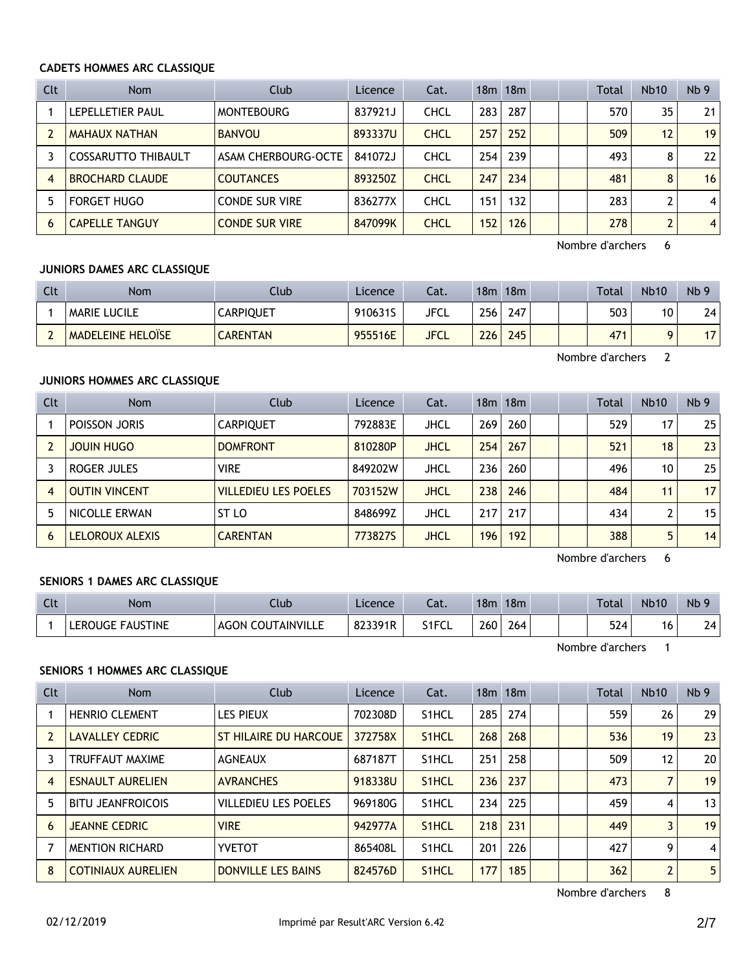#### **CADETS HOMMES ARC CLASSIQUE**

| Clt            | <b>Nom</b>             | Club                  | Licence | Cat.        |     | $18m$ 18 $m$ |  | Total | Nb10           | Nb <sub>9</sub> |
|----------------|------------------------|-----------------------|---------|-------------|-----|--------------|--|-------|----------------|-----------------|
|                | LEPELLETIER PAUL       | <b>MONTEBOURG</b>     | 837921J | <b>CHCL</b> | 283 | 287          |  | 570   | 35             | 21              |
|                | MAHAUX NATHAN          | <b>BANVOU</b>         | 893337U | <b>CHCL</b> | 257 | 252          |  | 509   | 12             | 19              |
|                | COSSARUTTO THIBAULT    | ASAM CHERBOURG-OCTE   | 841072J | CHCL        | 254 | 239          |  | 493   | 8              | 22              |
| $\overline{4}$ | <b>BROCHARD CLAUDE</b> | <b>COUTANCES</b>      | 893250Z | <b>CHCL</b> | 247 | 234          |  | 481   | 8              | 16              |
| 5              | <b>FORGET HUGO</b>     | <b>CONDE SUR VIRE</b> | 836277X | CHCL        | 151 | 132          |  | 283   | 2              | $\overline{4}$  |
| 6              | <b>CAPELLE TANGUY</b>  | <b>CONDE SUR VIRE</b> | 847099K | <b>CHCL</b> | 152 | 126          |  | 278   | $\overline{2}$ | $\overline{4}$  |

Nombre d'archers 6

#### **JUNIORS DAMES ARC CLASSIQUE**

| Clt                                  | <b>Nom</b>               | Club            | Licence | Cat.        | 18 <sub>m</sub> | 18m |  | <b>Total</b>    | <b>Nb10</b> | Nb <sub>9</sub> |
|--------------------------------------|--------------------------|-----------------|---------|-------------|-----------------|-----|--|-----------------|-------------|-----------------|
|                                      | <b>MARIE LUCILE</b>      | CARPIQUET       | 910631S | JFCL        | 256             | 247 |  | 503             | 10          | 24 I            |
| $\overline{\phantom{0}}$<br><b>_</b> | <b>MADELEINE HELOÏSE</b> | <b>CARENTAN</b> | 955516E | <b>JFCL</b> | 226             | 245 |  | 47 <sup>1</sup> |             | 17              |

Nombre d'archers 2

# **JUNIORS HOMMES ARC CLASSIQUE**

| Clt            | <b>Nom</b>           | Club                        | Licence | Cat.        |     | 18m 18m |  | Total | <b>Nb10</b> | Nb <sub>9</sub> |
|----------------|----------------------|-----------------------------|---------|-------------|-----|---------|--|-------|-------------|-----------------|
|                | POISSON JORIS        | <b>CARPIOUET</b>            | 792883E | JHCL        | 269 | 260     |  | 529   | 17          | 251             |
|                | <b>JOUIN HUGO</b>    | <b>DOMFRONT</b>             | 810280P | <b>JHCL</b> | 254 | 267     |  | 521   | 18          | 23              |
|                | ROGER JULES          | <b>VIRE</b>                 | 849202W | JHCL        | 236 | 260     |  | 496   | 10          | 251             |
| $\overline{4}$ | <b>OUTIN VINCENT</b> | <b>VILLEDIEU LES POELES</b> | 703152W | JHCL        | 238 | 246     |  | 484   | 11          | 17 <sup>1</sup> |
| 5              | NICOLLE ERWAN        | ST LO                       | 848699Z | JHCL        | 217 | 217     |  | 434   |             | 15 <sup>1</sup> |
| 6              | LELOROUX ALEXIS      | <b>CARENTAN</b>             | 773827S | JHCL        | 196 | 192     |  | 388   | 5           | 14              |

Nombre d'archers 6

## **SENIORS 1 DAMES ARC CLASSIQUE**

| <b>Clt</b> | Nom                         | Llub                        | Licence | ำ~+<br>Cal. | 18 <sub>m</sub> | 18m |  | Total | <b>Nb10</b> | N <sub>b</sub> 9 |
|------------|-----------------------------|-----------------------------|---------|-------------|-----------------|-----|--|-------|-------------|------------------|
|            | . FAUSTINE<br><b>EROUGE</b> | <b>COUTAINVILLE</b><br>AGON | 823391R | S1FCL       | 260             | 264 |  | 524   | 16          | 24               |

Nombre d'archers 1

#### **SENIORS 1 HOMMES ARC CLASSIQUE**

| Clt            | <b>Nom</b>                | Club                        | Licence | Cat.               |     | 18m 18m |  | Total | Nb10           | Nb <sub>9</sub> |
|----------------|---------------------------|-----------------------------|---------|--------------------|-----|---------|--|-------|----------------|-----------------|
|                | <b>HENRIO CLEMENT</b>     | <b>LES PIEUX</b>            | 702308D | S <sub>1</sub> HCL | 285 | 274     |  | 559   | 26             | 29              |
| $\overline{2}$ | <b>LAVALLEY CEDRIC</b>    | ST HILAIRE DU HARCOUE       | 372758X | S <sub>1</sub> HCL | 268 | 268     |  | 536   | 19             | 23              |
| 3              | <b>TRUFFAUT MAXIME</b>    | <b>AGNEAUX</b>              | 687187T | S <sub>1</sub> HCL | 251 | 258     |  | 509   | 12             | 20              |
| $\overline{A}$ | <b>ESNAULT AURELIEN</b>   | <b>AVRANCHES</b>            | 918338U | S <sub>1</sub> HCL | 236 | 237     |  | 473   | 7              | 19              |
| 5              | <b>BITU JEANFROICOIS</b>  | <b>VILLEDIEU LES POELES</b> | 969180G | S <sub>1</sub> HCL | 234 | 225     |  | 459   | 4              | 13              |
| 6              | <b>JEANNE CEDRIC</b>      | <b>VIRE</b>                 | 942977A | S <sub>1</sub> HCL | 218 | 231     |  | 449   | 3              | 19              |
|                | <b>MENTION RICHARD</b>    | <b>YVETOT</b>               | 865408L | S <sub>1</sub> HCL | 201 | 226     |  | 427   | 9              | 4               |
| 8              | <b>COTINIAUX AURELIEN</b> | <b>DONVILLE LES BAINS</b>   | 824576D | S <sub>1</sub> HCL | 177 | 185     |  | 362   | $\overline{2}$ | 5               |

Nombre d'archers 8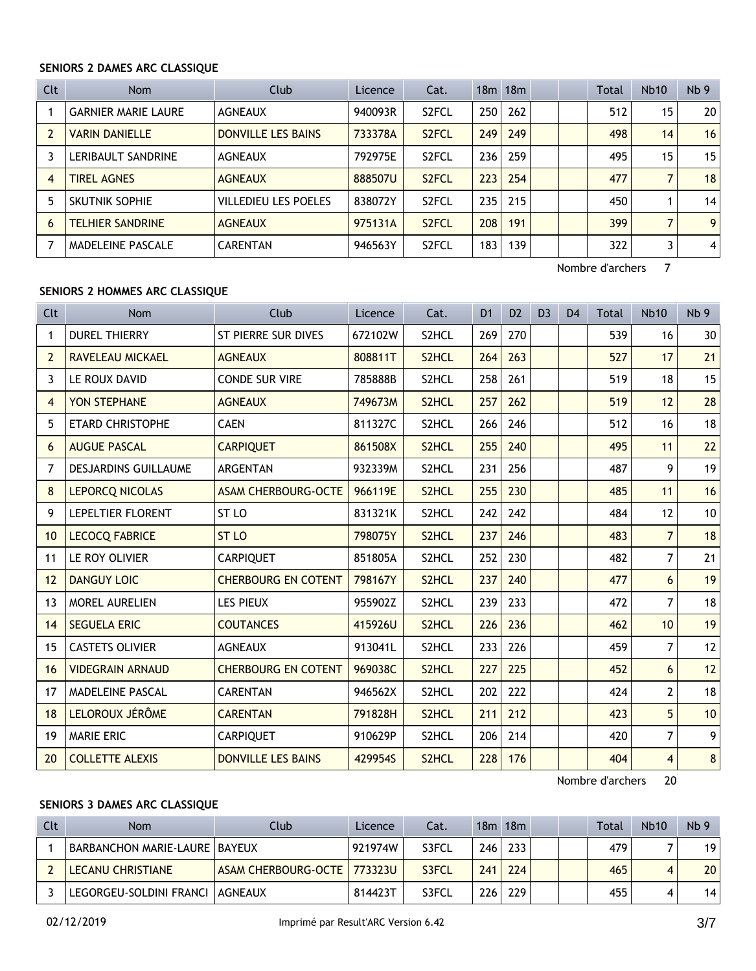#### **SENIORS 2 DAMES ARC CLASSIQUE**

| <b>Clt</b> | <b>Nom</b>                 | Club                        | Licence | Cat.               |     | 18m 18m |  | Total | Nb10 | Nb <sub>9</sub> |
|------------|----------------------------|-----------------------------|---------|--------------------|-----|---------|--|-------|------|-----------------|
|            | <b>GARNIER MARIE LAURE</b> | <b>AGNEAUX</b>              | 940093R | S <sub>2</sub> FCL | 250 | 262     |  | 512   | 15   | 20              |
|            | <b>VARIN DANIELLE</b>      | DONVILLE LES BAINS          | 733378A | S <sub>2</sub> FCL | 249 | 249     |  | 498   | 14   | 16              |
|            | LERIBAULT SANDRINE         | <b>AGNEAUX</b>              | 792975E | S <sub>2</sub> FCL | 236 | 259     |  | 495   | 15   | 15              |
| 4          | <b>TIREL AGNES</b>         | <b>AGNEAUX</b>              | 888507U | S <sub>2</sub> FCL | 223 | 254     |  | 477   |      | 18              |
| 5          | SKUTNIK SOPHIE             | <b>VILLEDIEU LES POELES</b> | 838072Y | S <sub>2</sub> FCL | 235 | 215     |  | 450   |      | 14              |
| 6          | <b>TELHIER SANDRINE</b>    | <b>AGNEAUX</b>              | 975131A | S <sub>2</sub> FCL | 208 | 191     |  | 399   | 7    | 9               |
|            | MADELEINE PASCALE          | <b>CARENTAN</b>             | 946563Y | S <sub>2</sub> FCL | 183 | 139     |  | 322   | 3    | $\overline{4}$  |

Nombre d'archers 7

## **SENIORS 2 HOMMES ARC CLASSIQUE**

| Clt            | <b>Nom</b>                  | Club                       | Licence | Cat.               | D <sub>1</sub> | D <sub>2</sub> | D <sub>3</sub> | D <sub>4</sub> | <b>Total</b> | <b>Nb10</b>             | Nb <sub>9</sub> |
|----------------|-----------------------------|----------------------------|---------|--------------------|----------------|----------------|----------------|----------------|--------------|-------------------------|-----------------|
| 1              | <b>DUREL THIERRY</b>        | <b>ST PIERRE SUR DIVES</b> | 672102W | S2HCL              | 269            | 270            |                |                | 539          | 16                      | 30              |
| $\overline{2}$ | <b>RAVELEAU MICKAEL</b>     | <b>AGNEAUX</b>             | 808811T | S <sub>2</sub> HCL | 264            | 263            |                |                | 527          | 17                      | 21              |
| 3              | LE ROUX DAVID               | <b>CONDE SUR VIRE</b>      | 785888B | S2HCL              | 258            | 261            |                |                | 519          | 18                      | 15              |
| 4              | YON STEPHANE                | <b>AGNEAUX</b>             | 749673M | S <sub>2</sub> HCL | 257            | 262            |                |                | 519          | 12                      | 28              |
| 5              | <b>ETARD CHRISTOPHE</b>     | <b>CAEN</b>                | 811327C | S2HCL              | 266            | 246            |                |                | 512          | 16                      | 18              |
| 6              | <b>AUGUE PASCAL</b>         | <b>CARPIQUET</b>           | 861508X | S <sub>2</sub> HCL | 255            | 240            |                |                | 495          | 11                      | 22              |
| 7              | <b>DESJARDINS GUILLAUME</b> | <b>ARGENTAN</b>            | 932339M | S2HCL              | 231            | 256            |                |                | 487          | 9                       | 19              |
| 8              | <b>LEPORCQ NICOLAS</b>      | <b>ASAM CHERBOURG-OCTE</b> | 966119E | S2HCL              | 255            | 230            |                |                | 485          | 11                      | 16              |
| 9              | LEPELTIER FLORENT           | ST <sub>LO</sub>           | 831321K | S2HCL              | 242            | 242            |                |                | 484          | 12                      | 10              |
| 10             | <b>LECOCQ FABRICE</b>       | ST <sub>LO</sub>           | 798075Y | S2HCL              | 237            | 246            |                |                | 483          | $\overline{7}$          | 18              |
| 11             | LE ROY OLIVIER              | <b>CARPIQUET</b>           | 851805A | S2HCL              | 252            | 230            |                |                | 482          | $\overline{7}$          | 21              |
| 12             | <b>DANGUY LOIC</b>          | <b>CHERBOURG EN COTENT</b> | 798167Y | S2HCL              | 237            | 240            |                |                | 477          | 6                       | 19              |
| 13             | MOREL AURELIEN              | <b>LES PIEUX</b>           | 955902Z | S2HCL              | 239            | 233            |                |                | 472          | $\overline{7}$          | 18              |
| 14             | <b>SEGUELA ERIC</b>         | <b>COUTANCES</b>           | 415926U | S2HCL              | 226            | 236            |                |                | 462          | 10 <sup>1</sup>         | 19              |
| 15             | <b>CASTETS OLIVIER</b>      | <b>AGNEAUX</b>             | 913041L | S <sub>2</sub> HCL | 233            | 226            |                |                | 459          | $\overline{7}$          | 12              |
| 16             | <b>VIDEGRAIN ARNAUD</b>     | <b>CHERBOURG EN COTENT</b> | 969038C | S2HCL              | 227            | 225            |                |                | 452          | 6                       | 12              |
| 17             | MADELEINE PASCAL            | <b>CARENTAN</b>            | 946562X | S2HCL              | 202            | 222            |                |                | 424          | 2                       | 18              |
| 18             | LELOROUX JÉRÔME             | <b>CARENTAN</b>            | 791828H | S <sub>2</sub> HCL | 211            | 212            |                |                | 423          | 5                       | 10              |
| 19             | <b>MARIE ERIC</b>           | <b>CARPIQUET</b>           | 910629P | S2HCL              | 206            | 214            |                |                | 420          | 7                       | 9 <sup>1</sup>  |
| 20             | <b>COLLETTE ALEXIS</b>      | <b>DONVILLE LES BAINS</b>  | 429954S | S2HCL              | 228            | 176            |                |                | 404          | $\overline{\mathbf{4}}$ | 8 <sup>1</sup>  |

Nombre d'archers 20

# **SENIORS 3 DAMES ARC CLASSIQUE**

| <b>Clt</b> | <b>Nom</b>                           | Club                          | Licence | Cat.  |     | 18m 18m |  | <b>Total</b> | <b>Nb10</b> | Nb <sub>9</sub> |
|------------|--------------------------------------|-------------------------------|---------|-------|-----|---------|--|--------------|-------------|-----------------|
|            | <b>BARBANCHON MARIE-LAURE BAYEUX</b> |                               | 921974W | S3FCL | 246 | 233     |  | 479          |             | 19              |
|            | LECANU CHRISTIANE                    | ASAM CHERBOURG-OCTE   773323U |         | S3FCL | 241 | 224     |  | 465          |             | 20 <sub>1</sub> |
|            | LEGORGEU-SOLDINI FRANCI   AGNEAUX    |                               | 814423T | S3FCL | 226 | 229     |  | 455          |             | 14              |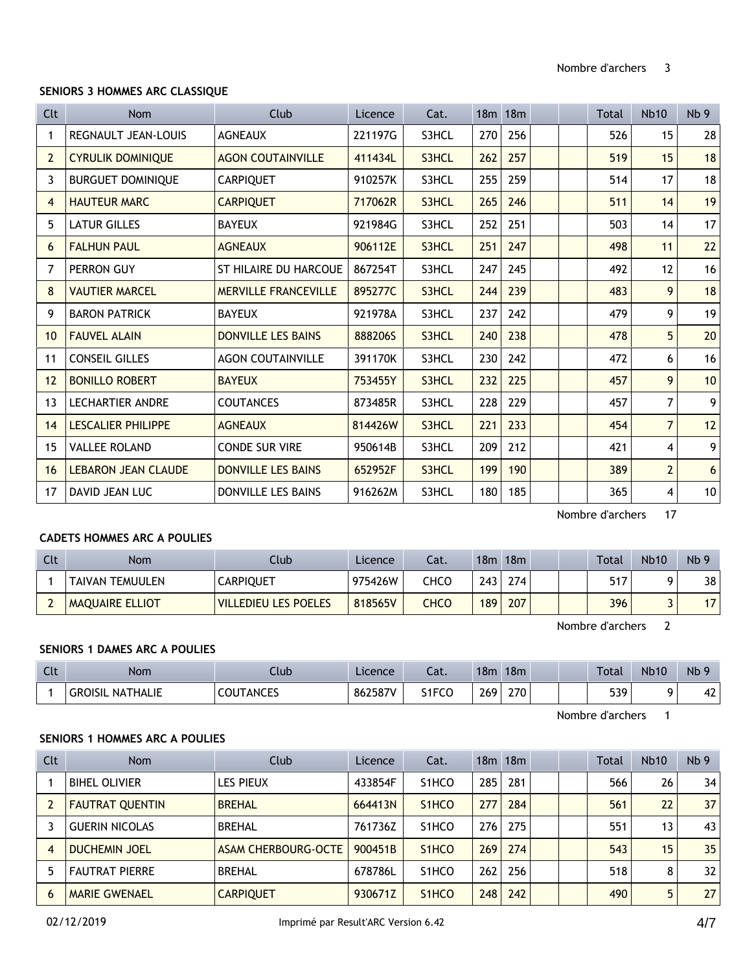#### **SENIORS 3 HOMMES ARC CLASSIQUE**

| <b>Clt</b>     | <b>Nom</b>                 | Club                         | Licence | Cat.  |     | 18 <sub>m</sub> 18 <sub>m</sub> |  | Total | <b>Nb10</b>    | Nb <sub>9</sub> |
|----------------|----------------------------|------------------------------|---------|-------|-----|---------------------------------|--|-------|----------------|-----------------|
| 1              | <b>REGNAULT JEAN-LOUIS</b> | <b>AGNEAUX</b>               | 221197G | S3HCL | 270 | 256                             |  | 526   | 15             | 28              |
| $\overline{2}$ | <b>CYRULIK DOMINIQUE</b>   | <b>AGON COUTAINVILLE</b>     | 411434L | S3HCL | 262 | 257                             |  | 519   | 15             | 18              |
| 3              | <b>BURGUET DOMINIQUE</b>   | <b>CARPIQUET</b>             | 910257K | S3HCL | 255 | 259                             |  | 514   | 17             | 18              |
| 4              | <b>HAUTEUR MARC</b>        | <b>CARPIQUET</b>             | 717062R | S3HCL | 265 | 246                             |  | 511   | 14             | 19              |
| 5              | <b>LATUR GILLES</b>        | <b>BAYEUX</b>                | 921984G | S3HCL | 252 | 251                             |  | 503   | 14             | 17              |
| 6              | <b>FALHUN PAUL</b>         | <b>AGNEAUX</b>               | 906112E | S3HCL | 251 | 247                             |  | 498   | 11             | 22              |
| 7              | PERRON GUY                 | <b>ST HILAIRE DU HARCOUE</b> | 867254T | S3HCL | 247 | 245                             |  | 492   | 12             | 16              |
| 8              | <b>VAUTIER MARCEL</b>      | <b>MERVILLE FRANCEVILLE</b>  | 895277C | S3HCL | 244 | 239                             |  | 483   | 9              | 18              |
| 9              | <b>BARON PATRICK</b>       | <b>BAYEUX</b>                | 921978A | S3HCL | 237 | 242                             |  | 479   | 9              | 19              |
| 10             | <b>FAUVEL ALAIN</b>        | <b>DONVILLE LES BAINS</b>    | 888206S | S3HCL | 240 | 238                             |  | 478   | 5              | 20              |
| 11             | <b>CONSEIL GILLES</b>      | <b>AGON COUTAINVILLE</b>     | 391170K | S3HCL | 230 | 242                             |  | 472   | 6              | 16              |
| 12             | <b>BONILLO ROBERT</b>      | <b>BAYEUX</b>                | 753455Y | S3HCL | 232 | 225                             |  | 457   | 9              | 10              |
| 13             | <b>LECHARTIER ANDRE</b>    | <b>COUTANCES</b>             | 873485R | S3HCL | 228 | 229                             |  | 457   | $\overline{7}$ | 9 <sup>1</sup>  |
| 14             | <b>LESCALIER PHILIPPE</b>  | <b>AGNEAUX</b>               | 814426W | S3HCL | 221 | 233                             |  | 454   | $\overline{7}$ | 12              |
| 15             | <b>VALLEE ROLAND</b>       | <b>CONDE SUR VIRE</b>        | 950614B | S3HCL | 209 | 212                             |  | 421   | $\overline{4}$ | 9 <sup>1</sup>  |
| 16             | <b>LEBARON JEAN CLAUDE</b> | <b>DONVILLE LES BAINS</b>    | 652952F | S3HCL | 199 | 190                             |  | 389   | $\overline{2}$ | 6 <sup>1</sup>  |
| 17             | DAVID JEAN LUC             | <b>DONVILLE LES BAINS</b>    | 916262M | S3HCL | 180 | 185                             |  | 365   | 4              | 10 <sup>1</sup> |

Nombre d'archers 17

# **CADETS HOMMES ARC A POULIES**

| Clt | Nom                    | Club                        | Licence | Cat. | 18m | 18m |  | Total | <b>Nb10</b> | Nb <sub>9</sub> |
|-----|------------------------|-----------------------------|---------|------|-----|-----|--|-------|-------------|-----------------|
|     | TAIVAN TEMUULEN        | CARPIQUET                   | 975426W | CHCO | 243 | 274 |  | 517   |             | 38              |
|     | <b>MAQUAIRE ELLIOT</b> | <b>VILLEDIEU LES POELES</b> | 818565V | CHCO | 189 | 207 |  | 396   |             |                 |

Nombre d'archers 2

## **SENIORS 1 DAMES ARC A POULIES**

| Clt | <b>Nom</b>                 | Club           | Licence | $-1$<br>Cal. | 18 <sub>m</sub> | 18 <sub>m</sub> |  | Total | <b>Nb10</b> | Nb                             |
|-----|----------------------------|----------------|---------|--------------|-----------------|-----------------|--|-------|-------------|--------------------------------|
|     | <b>GROISIL</b><br>NATHALIE | TANCES<br>COUT | 862587V | S1FCO        | 269             | 270             |  | 539   |             | $\overline{\phantom{a}}$<br>44 |

Nombre d'archers 1

#### **SENIORS 1 HOMMES ARC A POULIES**

| Clt | <b>Nom</b>             | Club                | Licence | Cat.                            |     | 18m 18m |  | <b>Total</b> | <b>Nb10</b> | Nb <sub>9</sub> |
|-----|------------------------|---------------------|---------|---------------------------------|-----|---------|--|--------------|-------------|-----------------|
|     | <b>BIHEL OLIVIER</b>   | <b>LES PIEUX</b>    | 433854F | S <sub>1</sub> HCO              | 285 | 281     |  | 566          | 26          | 34              |
|     | <b>FAUTRAT QUENTIN</b> | <b>BREHAL</b>       | 664413N | S <sub>1</sub> HCO              | 277 | 284     |  | 561          | 22          | 37              |
|     | <b>GUERIN NICOLAS</b>  | <b>BREHAL</b>       | 761736Z | S <sub>1</sub> HCO              | 276 | 275     |  | 551          | 13          | 43              |
| 4   | <b>DUCHEMIN JOEL</b>   | ASAM CHERBOURG-OCTE | 900451B | S <sub>1</sub> HCO              | 269 | 274     |  | 543          | 15          | 35              |
|     | <b>FAUTRAT PIERRE</b>  | <b>BREHAL</b>       | 678786L | S <sub>1</sub> HCO              | 262 | 256     |  | 518          | 8           | 32              |
| 6   | <b>MARIE GWENAEL</b>   | <b>CARPIQUET</b>    | 930671Z | S <sub>1</sub> H <sub>C</sub> O | 248 | 242     |  | 490          | 5           | 27              |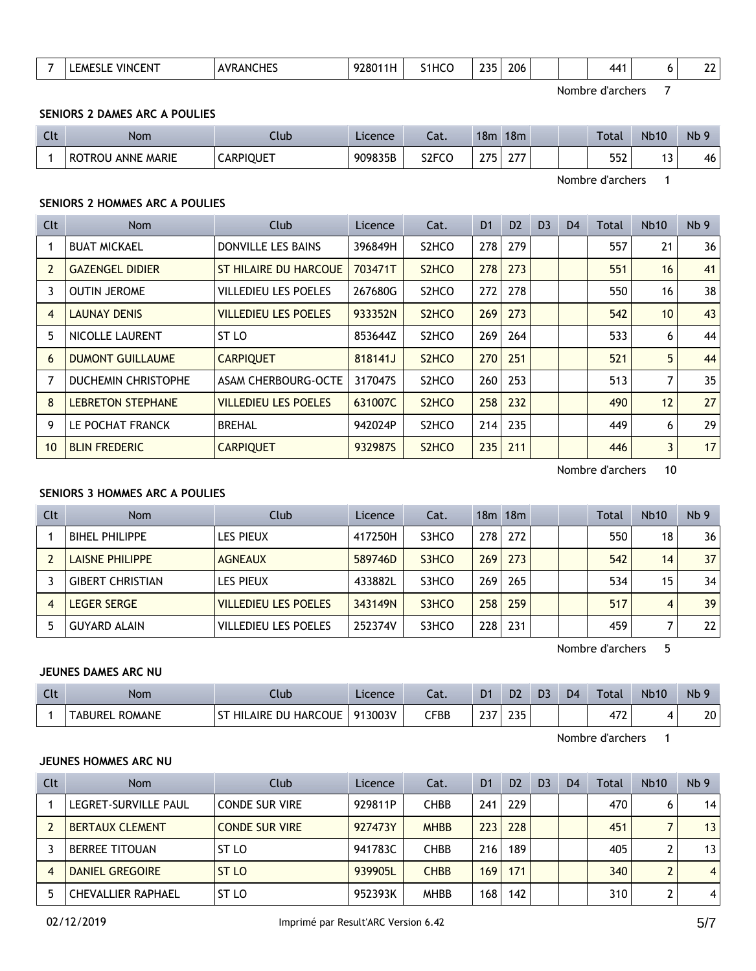|  |  | .<br>$\cdots$<br>VING<br>FN.<br>M⊾<br>______ | <b>AVRANC</b><br><b>HF</b><br>___ | $\sim$ $\sim$<br>9280<br>. | .<br>.1 H ( | つつに<br>__ | 206<br>__ |  |  | 44 ° |  | $\sim$<br>-- |  |
|--|--|----------------------------------------------|-----------------------------------|----------------------------|-------------|-----------|-----------|--|--|------|--|--------------|--|
|--|--|----------------------------------------------|-----------------------------------|----------------------------|-------------|-----------|-----------|--|--|------|--|--------------|--|

Nombre d'archers 7

#### **SENIORS 2 DAMES ARC A POULIES**

| $\sim$<br>uu | Nom                                | Club             | Licence | $\sim$<br>cal.     | 18 <sub>m</sub> | 18m |  | Total | <b>Nb10</b>                   | <b>N<sub>b</sub></b> |
|--------------|------------------------------------|------------------|---------|--------------------|-----------------|-----|--|-------|-------------------------------|----------------------|
|              | <b>ANNE MARIE</b><br><b>ROTROU</b> | <b>CARPIQUET</b> | 909835B | S <sub>2</sub> FCO | つつに             | ~-- |  | 552   | $\overline{\phantom{0}}$<br>. | 46                   |

Nombre d'archers 1

## **SENIORS 2 HOMMES ARC A POULIES**

| Clt            | Nom                        | Club                         | Licence | Cat.                           | D <sub>1</sub> | D <sub>2</sub> | D <sub>3</sub> | D <sub>4</sub> | Total | <b>Nb10</b> | Nb <sub>9</sub> |
|----------------|----------------------------|------------------------------|---------|--------------------------------|----------------|----------------|----------------|----------------|-------|-------------|-----------------|
|                | <b>BUAT MICKAEL</b>        | DONVILLE LES BAINS           | 396849H | S <sub>2</sub> HC <sub>O</sub> | 278            | 279            |                |                | 557   | 21          | 36              |
| $\overline{2}$ | <b>GAZENGEL DIDIER</b>     | <b>ST HILAIRE DU HARCOUE</b> | 703471T | S <sub>2</sub> HC <sub>O</sub> | 278            | 273            |                |                | 551   | 16          | 41              |
| 3              | <b>OUTIN JEROME</b>        | <b>VILLEDIEU LES POELES</b>  | 267680G | S <sub>2</sub> HC <sub>O</sub> | 272            | 278            |                |                | 550   | 16          | 38              |
| $\overline{4}$ | <b>LAUNAY DENIS</b>        | <b>VILLEDIEU LES POELES</b>  | 933352N | S <sub>2</sub> H <sub>CO</sub> | 269            | 273            |                |                | 542   | 10          | 43              |
| 5              | NICOLLE LAURENT            | ST LO                        | 853644Z | S <sub>2</sub> HC <sub>O</sub> | 269            | 264            |                |                | 533   | 6           | 44              |
| 6              | <b>DUMONT GUILLAUME</b>    | <b>CARPIQUET</b>             | 818141J | S <sub>2</sub> HC <sub>O</sub> | 270            | 251            |                |                | 521   | 5           | 44              |
|                | <b>DUCHEMIN CHRISTOPHE</b> | <b>ASAM CHERBOURG-OCTE</b>   | 317047S | S <sub>2</sub> HC <sub>O</sub> | 260            | 253            |                |                | 513   | 7           | 35              |
| 8              | <b>LEBRETON STEPHANE</b>   | <b>VILLEDIEU LES POELES</b>  | 631007C | S <sub>2</sub> HC <sub>O</sub> | 258            | 232            |                |                | 490   | 12          | 27              |
| 9              | LE POCHAT FRANCK           | <b>BREHAL</b>                | 942024P | S <sub>2</sub> HC <sub>O</sub> | 214            | 235            |                |                | 449   | 6           | 29              |
| 10             | <b>BLIN FREDERIC</b>       | <b>CARPIQUET</b>             | 932987S | S <sub>2</sub> HC <sub>O</sub> | 235            | 211            |                |                | 446   | 3           | 17              |

Nombre d'archers 10

# **SENIORS 3 HOMMES ARC A POULIES**

| <b>Clt</b> | <b>Nom</b>              | Club                        | Licence | Cat.  |     | $18m$ 18 $m$ |  | Total | <b>Nb10</b> | Nb <sub>9</sub> |
|------------|-------------------------|-----------------------------|---------|-------|-----|--------------|--|-------|-------------|-----------------|
|            | <b>BIHEL PHILIPPE</b>   | LES PIEUX                   | 417250H | S3HCO | 278 | 272          |  | 550   | 18          | 36              |
|            | LAISNE PHILIPPE         | <b>AGNEAUX</b>              | 589746D | S3HCO | 269 | 273          |  | 542   | 14          | 37              |
|            | <b>GIBERT CHRISTIAN</b> | LES PIEUX                   | 433882L | S3HCO | 269 | 265          |  | 534   | 15          | 34              |
|            | <b>LEGER SERGE</b>      | <b>VILLEDIEU LES POELES</b> | 343149N | S3HCO | 258 | 259          |  | 517   | 4           | 39              |
|            | <b>GUYARD ALAIN</b>     | VILLEDIEU LES POELES        | 252374V | S3HCO | 228 | 231          |  | 459   |             | 22              |

Nombre d'archers 5

# **JEUNES DAMES ARC NU**

| Clt | Nom                      | Club                                  | Licence | ำร<br>cal.   | D <sub>1</sub>   | D <sub>2</sub> | D <sub>3</sub> | D <sub>4</sub> | Total       | <b>Nb10</b> | Nb <sup>c</sup> |
|-----|--------------------------|---------------------------------------|---------|--------------|------------------|----------------|----------------|----------------|-------------|-------------|-----------------|
|     | ROMANE<br><b>TABUREL</b> | HARCOUE<br>~-<br><b>HILAIRE</b><br>DU | 913003V | ${\sf CFBB}$ | ר ר<br><b>LJ</b> | חרר<br>LJ J    |                |                | ィフつ<br>47 L |             | 20              |

Nombre d'archers 1

## **JEUNES HOMMES ARC NU**

| <b>Clt</b> | <b>Nom</b>                | Club                  | Licence | Cat.        | D <sub>1</sub> | D <sub>2</sub> | D <sub>3</sub> | D <sub>4</sub> | Total | <b>Nb10</b> | Nb <sub>9</sub> |
|------------|---------------------------|-----------------------|---------|-------------|----------------|----------------|----------------|----------------|-------|-------------|-----------------|
|            | LEGRET-SURVILLE PAUL      | CONDE SUR VIRE        | 929811P | CHBB        | 241            | 229            |                |                | 470   | 6           | 14              |
|            | <b>BERTAUX CLEMENT</b>    | <b>CONDE SUR VIRE</b> | 927473Y | <b>MHBB</b> | 2231           | 228            |                |                | 451   |             | 13 <sup>1</sup> |
|            | <b>BERREE TITOUAN</b>     | ST LO                 | 941783C | CHBB        | 216            | 189            |                |                | 405   |             | 13 <sup>1</sup> |
|            | DANIEL GREGOIRE           | ST <sub>LO</sub>      | 939905L | <b>CHBB</b> | 169            | 171            |                |                | 340   | C.          | $\vert$         |
|            | <b>CHEVALLIER RAPHAEL</b> | ST LO                 | 952393K | <b>MHBB</b> | 168            | 142            |                |                | 310   |             | 4 <sup>1</sup>  |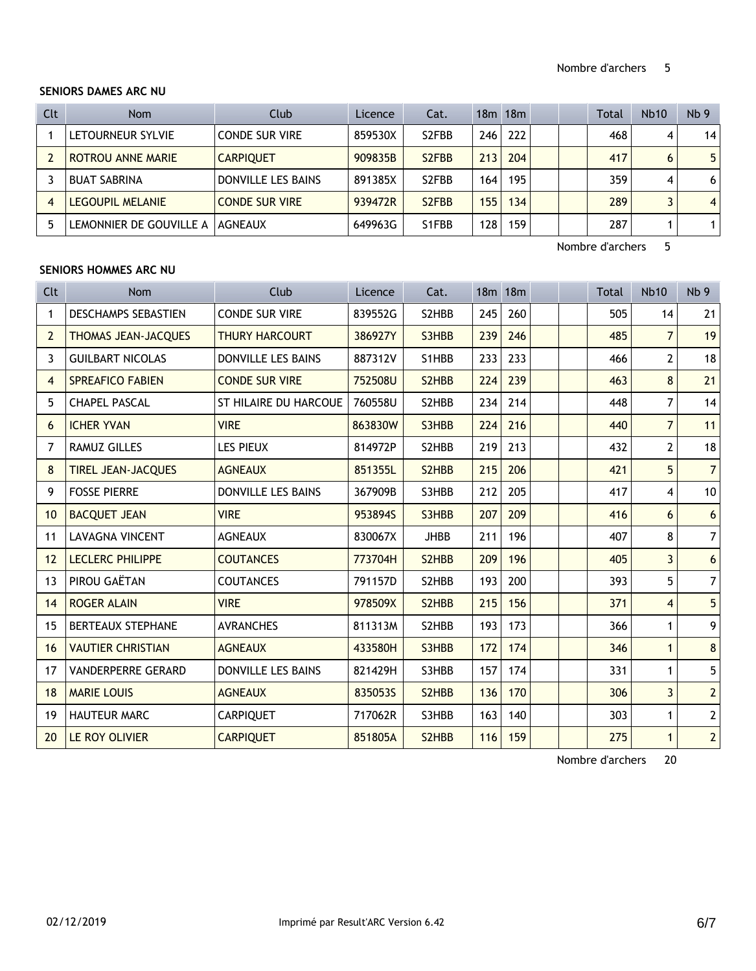## **SENIORS DAMES ARC NU**

| Clt | <b>Nom</b>               | Club                  | Licence | Cat.                            |                  | $18m$ 18 $m$ |  | Total | <b>Nb10</b> | Nb <sub>9</sub> |
|-----|--------------------------|-----------------------|---------|---------------------------------|------------------|--------------|--|-------|-------------|-----------------|
|     | LETOURNEUR SYLVIE        | <b>CONDE SUR VIRE</b> | 859530X | S <sub>2</sub> FBB              | 246 <sub>1</sub> | 222          |  | 468   | 4           | 14              |
|     | <b>ROTROU ANNE MARIE</b> | <b>CARPIOUET</b>      | 909835B | S <sub>2</sub> F <sub>B</sub> B | 213              | 204          |  | 417   | 6           | 5 <sup>1</sup>  |
|     | <b>BUAT SABRINA</b>      | DONVILLE LES BAINS    | 891385X | S <sub>2</sub> FBB              | 164              | 195          |  | 359   | 4           | 6 <sup>1</sup>  |
| 4   | <b>LEGOUPIL MELANIE</b>  | <b>CONDE SUR VIRE</b> | 939472R | S <sub>2</sub> F <sub>B</sub> B | 155              | 134          |  | 289   |             | 4 <sup>1</sup>  |
| 5   | LEMONNIER DE GOUVILLE A  | <b>AGNEAUX</b>        | 649963G | S1FBB                           | 128              | 159          |  | 287   |             | 1               |

Nombre d'archers 5

# **SENIORS HOMMES ARC NU**

| Clt            | <b>Nom</b>                 | Club                         | Licence | Cat.        |     | 18m 18m |  | <b>Total</b> | <b>Nb10</b>    | Nb <sub>9</sub> |
|----------------|----------------------------|------------------------------|---------|-------------|-----|---------|--|--------------|----------------|-----------------|
| 1              | <b>DESCHAMPS SEBASTIEN</b> | <b>CONDE SUR VIRE</b>        | 839552G | S2HBB       | 245 | 260     |  | 505          | 14             | 21              |
| $\overline{2}$ | <b>THOMAS JEAN-JACQUES</b> | <b>THURY HARCOURT</b>        | 386927Y | S3HBB       | 239 | 246     |  | 485          | $\overline{7}$ | 19              |
| 3              | <b>GUILBART NICOLAS</b>    | <b>DONVILLE LES BAINS</b>    | 887312V | S1HBB       | 233 | 233     |  | 466          | 2              | 18              |
| $\overline{4}$ | <b>SPREAFICO FABIEN</b>    | <b>CONDE SUR VIRE</b>        | 752508U | S2HBB       | 224 | 239     |  | 463          | 8              | 21              |
| 5              | <b>CHAPEL PASCAL</b>       | <b>ST HILAIRE DU HARCOUE</b> | 760558U | S2HBB       | 234 | 214     |  | 448          | 7              | 14              |
| 6              | <b>ICHER YVAN</b>          | <b>VIRE</b>                  | 863830W | S3HBB       | 224 | 216     |  | 440          | $\overline{7}$ | 11              |
| 7              | <b>RAMUZ GILLES</b>        | <b>LES PIEUX</b>             | 814972P | S2HBB       | 219 | 213     |  | 432          | $\overline{2}$ | 18              |
| 8              | <b>TIREL JEAN-JACQUES</b>  | <b>AGNEAUX</b>               | 851355L | S2HBB       | 215 | 206     |  | 421          | 5              | $\overline{7}$  |
| 9              | <b>FOSSE PIERRE</b>        | <b>DONVILLE LES BAINS</b>    | 367909B | S3HBB       | 212 | 205     |  | 417          | 4              | 10              |
| 10             | <b>BACQUET JEAN</b>        | <b>VIRE</b>                  | 953894S | S3HBB       | 207 | 209     |  | 416          | 6              | $6\phantom{a}$  |
| 11             | <b>LAVAGNA VINCENT</b>     | <b>AGNEAUX</b>               | 830067X | <b>JHBB</b> | 211 | 196     |  | 407          | 8              | $\overline{7}$  |
| 12             | <b>LECLERC PHILIPPE</b>    | <b>COUTANCES</b>             | 773704H | S2HBB       | 209 | 196     |  | 405          | 3              | $6\phantom{a}$  |
| 13             | PIROU GAËTAN               | <b>COUTANCES</b>             | 791157D | S2HBB       | 193 | 200     |  | 393          | 5              | $\overline{7}$  |
| 14             | <b>ROGER ALAIN</b>         | <b>VIRE</b>                  | 978509X | S2HBB       | 215 | 156     |  | 371          | 4              | 5               |
| 15             | <b>BERTEAUX STEPHANE</b>   | <b>AVRANCHES</b>             | 811313M | S2HBB       | 193 | 173     |  | 366          | 1              | 9               |
| 16             | <b>VAUTIER CHRISTIAN</b>   | <b>AGNEAUX</b>               | 433580H | S3HBB       | 172 | 174     |  | 346          | $\mathbf{1}$   | 8               |
| 17             | <b>VANDERPERRE GERARD</b>  | <b>DONVILLE LES BAINS</b>    | 821429H | S3HBB       | 157 | 174     |  | 331          | 1              | 5               |
| 18             | <b>MARIE LOUIS</b>         | <b>AGNEAUX</b>               | 8350535 | S2HBB       | 136 | 170     |  | 306          | $\overline{3}$ | $\overline{2}$  |
| 19             | <b>HAUTEUR MARC</b>        | <b>CARPIQUET</b>             | 717062R | S3HBB       | 163 | 140     |  | 303          | 1              | $\overline{2}$  |
| 20             | LE ROY OLIVIER             | <b>CARPIOUET</b>             | 851805A | S2HBB       | 116 | 159     |  | 275          | $\mathbf{1}$   | $\overline{2}$  |

Nombre d'archers 20